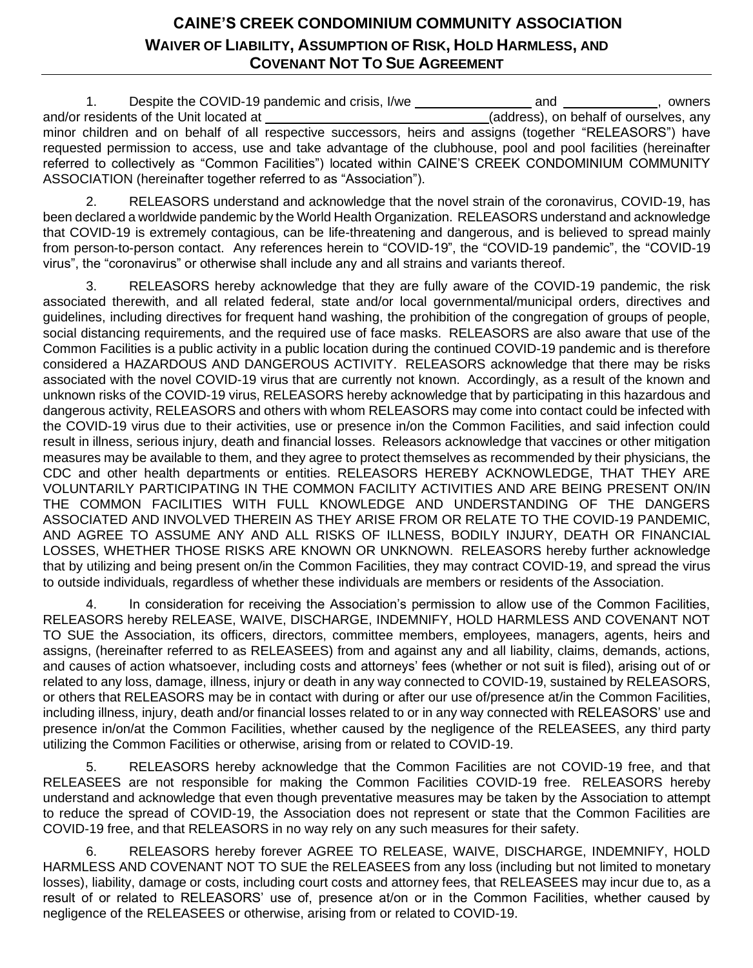## **CAINE'S CREEK CONDOMINIUM COMMUNITY ASSOCIATION WAIVER OF LIABILITY, ASSUMPTION OF RISK, HOLD HARMLESS, AND COVENANT NOT TO SUE AGREEMENT**

1. Despite the COVID-19 pandemic and crisis, I/we and and and , owners and/or residents of the Unit located at (address), on behalf of ourselves, any minor children and on behalf of all respective successors, heirs and assigns (together "RELEASORS") have requested permission to access, use and take advantage of the clubhouse, pool and pool facilities (hereinafter referred to collectively as "Common Facilities") located within CAINE'S CREEK CONDOMINIUM COMMUNITY ASSOCIATION (hereinafter together referred to as "Association").

2. RELEASORS understand and acknowledge that the novel strain of the coronavirus, COVID-19, has been declared a worldwide pandemic by the World Health Organization. RELEASORS understand and acknowledge that COVID-19 is extremely contagious, can be life-threatening and dangerous, and is believed to spread mainly from person-to-person contact. Any references herein to "COVID-19", the "COVID-19 pandemic", the "COVID-19 virus", the "coronavirus" or otherwise shall include any and all strains and variants thereof.

3. RELEASORS hereby acknowledge that they are fully aware of the COVID-19 pandemic, the risk associated therewith, and all related federal, state and/or local governmental/municipal orders, directives and guidelines, including directives for frequent hand washing, the prohibition of the congregation of groups of people, social distancing requirements, and the required use of face masks. RELEASORS are also aware that use of the Common Facilities is a public activity in a public location during the continued COVID-19 pandemic and is therefore considered a HAZARDOUS AND DANGEROUS ACTIVITY. RELEASORS acknowledge that there may be risks associated with the novel COVID-19 virus that are currently not known. Accordingly, as a result of the known and unknown risks of the COVID-19 virus, RELEASORS hereby acknowledge that by participating in this hazardous and dangerous activity, RELEASORS and others with whom RELEASORS may come into contact could be infected with the COVID-19 virus due to their activities, use or presence in/on the Common Facilities, and said infection could result in illness, serious injury, death and financial losses. Releasors acknowledge that vaccines or other mitigation measures may be available to them, and they agree to protect themselves as recommended by their physicians, the CDC and other health departments or entities. RELEASORS HEREBY ACKNOWLEDGE, THAT THEY ARE VOLUNTARILY PARTICIPATING IN THE COMMON FACILITY ACTIVITIES AND ARE BEING PRESENT ON/IN THE COMMON FACILITIES WITH FULL KNOWLEDGE AND UNDERSTANDING OF THE DANGERS ASSOCIATED AND INVOLVED THEREIN AS THEY ARISE FROM OR RELATE TO THE COVID-19 PANDEMIC, AND AGREE TO ASSUME ANY AND ALL RISKS OF ILLNESS, BODILY INJURY, DEATH OR FINANCIAL LOSSES, WHETHER THOSE RISKS ARE KNOWN OR UNKNOWN. RELEASORS hereby further acknowledge that by utilizing and being present on/in the Common Facilities, they may contract COVID-19, and spread the virus to outside individuals, regardless of whether these individuals are members or residents of the Association.

4. In consideration for receiving the Association's permission to allow use of the Common Facilities, RELEASORS hereby RELEASE, WAIVE, DISCHARGE, INDEMNIFY, HOLD HARMLESS AND COVENANT NOT TO SUE the Association, its officers, directors, committee members, employees, managers, agents, heirs and assigns, (hereinafter referred to as RELEASEES) from and against any and all liability, claims, demands, actions, and causes of action whatsoever, including costs and attorneys' fees (whether or not suit is filed), arising out of or related to any loss, damage, illness, injury or death in any way connected to COVID-19, sustained by RELEASORS, or others that RELEASORS may be in contact with during or after our use of/presence at/in the Common Facilities, including illness, injury, death and/or financial losses related to or in any way connected with RELEASORS' use and presence in/on/at the Common Facilities, whether caused by the negligence of the RELEASEES, any third party utilizing the Common Facilities or otherwise, arising from or related to COVID-19.

5. RELEASORS hereby acknowledge that the Common Facilities are not COVID-19 free, and that RELEASEES are not responsible for making the Common Facilities COVID-19 free. RELEASORS hereby understand and acknowledge that even though preventative measures may be taken by the Association to attempt to reduce the spread of COVID-19, the Association does not represent or state that the Common Facilities are COVID-19 free, and that RELEASORS in no way rely on any such measures for their safety.

6. RELEASORS hereby forever AGREE TO RELEASE, WAIVE, DISCHARGE, INDEMNIFY, HOLD HARMLESS AND COVENANT NOT TO SUE the RELEASEES from any loss (including but not limited to monetary losses), liability, damage or costs, including court costs and attorney fees, that RELEASEES may incur due to, as a result of or related to RELEASORS' use of, presence at/on or in the Common Facilities, whether caused by negligence of the RELEASEES or otherwise, arising from or related to COVID-19.